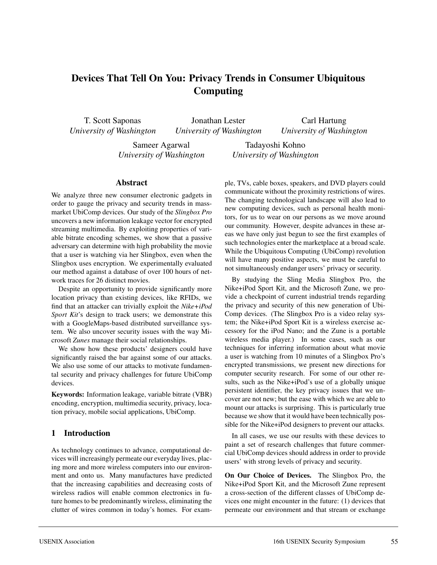# **Devices That Tell On You: Privacy Trends in Consumer Ubiquitous Computing**

T. Scott Saponas *University of Washington*

Jonathan Lester *University of Washington*

Carl Hartung *University of Washington*

Sameer Agarwal *University of Washington*

Tadayoshi Kohno *University of Washington*

#### **Abstract**

We analyze three new consumer electronic gadgets in order to gauge the privacy and security trends in massmarket UbiComp devices. Our study of the *Slingbox Pro* uncovers a new information leakage vector for encrypted streaming multimedia. By exploiting properties of variable bitrate encoding schemes, we show that a passive adversary can determine with high probability the movie that a user is watching via her Slingbox, even when the Slingbox uses encryption. We experimentally evaluated our method against a database of over 100 hours of network traces for 26 distinct movies.

Despite an opportunity to provide significantly more location privacy than existing devices, like RFIDs, we find that an attacker can trivially exploit the *Nike+iPod Sport Kit*'s design to track users; we demonstrate this with a GoogleMaps-based distributed surveillance system. We also uncover security issues with the way Microsoft *Zunes* manage their social relationships.

We show how these products' designers could have significantly raised the bar against some of our attacks. We also use some of our attacks to motivate fundamental security and privacy challenges for future UbiComp devices.

**Keywords:** Information leakage, variable bitrate (VBR) encoding, encryption, multimedia security, privacy, location privacy, mobile social applications, UbiComp.

### **1 Introduction**

As technology continues to advance, computational devices will increasingly permeate our everyday lives, placing more and more wireless computers into our environment and onto us. Many manufactures have predicted that the increasing capabilities and decreasing costs of wireless radios will enable common electronics in future homes to be predominantly wireless, eliminating the clutter of wires common in today's homes. For example, TVs, cable boxes, speakers, and DVD players could communicate without the proximity restrictions of wires. The changing technological landscape will also lead to new computing devices, such as personal health monitors, for us to wear on our persons as we move around our community. However, despite advances in these areas we have only just begun to see the first examples of such technologies enter the marketplace at a broad scale. While the Ubiquitous Computing (UbiComp) revolution will have many positive aspects, we must be careful to not simultaneously endanger users' privacy or security.

By studying the Sling Media Slingbox Pro, the Nike+iPod Sport Kit, and the Microsoft Zune, we provide a checkpoint of current industrial trends regarding the privacy and security of this new generation of Ubi-Comp devices. (The Slingbox Pro is a video relay system; the Nike+iPod Sport Kit is a wireless exercise accessory for the iPod Nano; and the Zune is a portable wireless media player.) In some cases, such as our techniques for inferring information about what movie a user is watching from 10 minutes of a Slingbox Pro's encrypted transmissions, we present new directions for computer security research. For some of our other results, such as the Nike+iPod's use of a globally unique persistent identifier, the key privacy issues that we uncover are not new; but the ease with which we are able to mount our attacks is surprising. This is particularly true because we show that it would have been technically possible for the Nike+iPod designers to prevent our attacks.

In all cases, we use our results with these devices to paint a set of research challenges that future commercial UbiComp devices should address in order to provide users' with strong levels of privacy and security.

**On Our Choice of Devices.** The Slingbox Pro, the Nike+iPod Sport Kit, and the Microsoft Zune represent a cross-section of the different classes of UbiComp devices one might encounter in the future: (1) devices that permeate our environment and that stream or exchange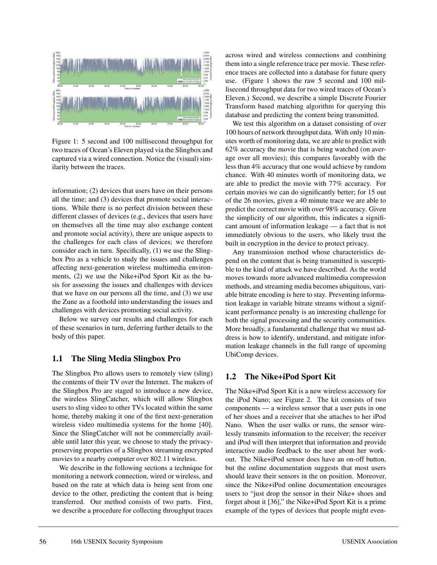

Figure 1: 5 second and 100 millisecond throughput for two traces of Ocean's Eleven played via the Slingbox and captured via a wired connection. Notice the (visual) similarity between the traces.

information; (2) devices that users have on their persons all the time; and (3) devices that promote social interactions. While there is no perfect division between these different classes of devices (e.g., devices that users have on themselves all the time may also exchange content and promote social activity), there are unique aspects to the challenges for each class of devices; we therefore consider each in turn. Specifically, (1) we use the Slingbox Pro as a vehicle to study the issues and challenges affecting next-generation wireless multimedia environments, (2) we use the Nike+iPod Sport Kit as the basis for assessing the issues and challenges with devices that we have on our persons all the time, and (3) we use the Zune as a foothold into understanding the issues and challenges with devices promoting social activity.

Below we survey our results and challenges for each of these scenarios in turn, deferring further details to the body of this paper.

#### **1.1 The Sling Media Slingbox Pro**

The Slingbox Pro allows users to remotely view (sling) the contents of their TV over the Internet. The makers of the Slingbox Pro are staged to introduce a new device, the wireless SlingCatcher, which will allow Slingbox users to sling video to other TVs located within the same home, thereby making it one of the first next-generation wireless video multimedia systems for the home [40]. Since the SlingCatcher will not be commercially available until later this year, we choose to study the privacypreserving properties of a Slingbox streaming encrypted movies to a nearby computer over 802.11 wireless.

We describe in the following sections a technique for monitoring a network connection, wired or wireless, and based on the rate at which data is being sent from one device to the other, predicting the content that is being transferred. Our method consists of two parts. First, we describe a procedure for collecting throughput traces

across wired and wireless connections and combining them into a single reference trace per movie. These reference traces are collected into a database for future query use. (Figure 1 shows the raw 5 second and 100 millisecond throughput data for two wired traces of Ocean's Eleven.) Second, we describe a simple Discrete Fourier Transform based matching algorithm for querying this database and predicting the content being transmitted.

We test this algorithm on a dataset consisting of over 100 hours of network throughput data. With only 10 minutes worth of monitoring data, we are able to predict with 62% accuracy the movie that is being watched (on average over all movies); this compares favorably with the less than 4% accuracy that one would achieve by random chance. With 40 minutes worth of monitoring data, we are able to predict the movie with 77% accuracy. For certain movies we can do significantly better; for 15 out of the 26 movies, given a 40 minute trace we are able to predict the correct movie with over 98% accuracy. Given the simplicity of our algorithm, this indicates a significant amount of information leakage — a fact that is not immediately obvious to the users, who likely trust the built in encryption in the device to protect privacy.

Any transmission method whose characteristics depend on the content that is being transmitted is susceptible to the kind of attack we have described. As the world moves towards more advanced multimedia compression methods, and streaming media becomes ubiquitous, variable bitrate encoding is here to stay. Preventing information leakage in variable bitrate streams without a significant performance penalty is an interesting challenge for both the signal processing and the security communities. More broadly, a fundamental challenge that we must address is how to identify, understand, and mitigate information leakage channels in the full range of upcoming UbiComp devices.

### **1.2 The Nike+iPod Sport Kit**

The Nike+iPod Sport Kit is a new wireless accessory for the iPod Nano; see Figure 2. The kit consists of two components — a wireless sensor that a user puts in one of her shoes and a receiver that she attaches to her iPod Nano. When the user walks or runs, the sensor wirelessly transmits information to the receiver; the receiver and iPod will then interpret that information and provide interactive audio feedback to the user about her workout. The Nike+iPod sensor does have an on-off button, but the online documentation suggests that most users should leave their sensors in the on position. Moreover, since the Nike+iPod online documentation encourages users to "just drop the sensor in their Nike+ shoes and forget about it [36]," the Nike+iPod Sport Kit is a prime example of the types of devices that people might even-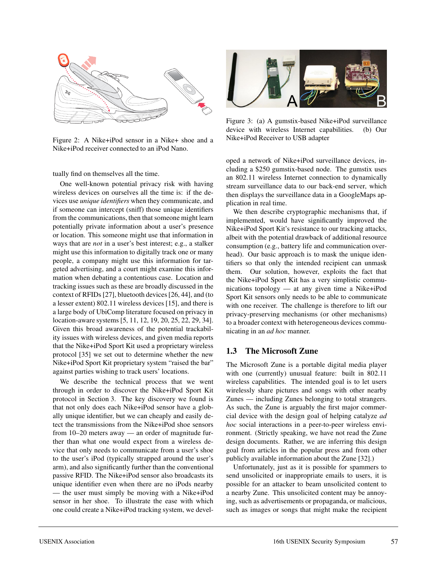

Figure 2: A Nike+iPod sensor in a Nike+ shoe and a Nike+iPod receiver connected to an iPod Nano.

tually find on themselves all the time.

One well-known potential privacy risk with having wireless devices on ourselves all the time is: if the devices use *unique identifiers* when they communicate, and if someone can intercept (sniff) those unique identifiers from the communications, then that someone might learn potentially private information about a user's presence or location. This someone might use that information in ways that are *not* in a user's best interest; e.g., a stalker might use this information to digitally track one or many people, a company might use this information for targeted advertising, and a court might examine this information when debating a contentious case. Location and tracking issues such as these are broadly discussed in the context of RFIDs [27], bluetooth devices [26, 44], and (to a lesser extent) 802.11 wireless devices [15], and there is a large body of UbiComp literature focused on privacy in location-aware systems [5, 11, 12, 19, 20, 25, 22, 29, 34]. Given this broad awareness of the potential trackability issues with wireless devices, and given media reports that the Nike+iPod Sport Kit used a proprietary wireless protocol [35] we set out to determine whether the new Nike+iPod Sport Kit proprietary system "raised the bar" against parties wishing to track users' locations.

We describe the technical process that we went through in order to discover the Nike+iPod Sport Kit protocol in Section 3. The key discovery we found is that not only does each Nike+iPod sensor have a globally unique identifier, but we can cheaply and easily detect the transmissions from the Nike+iPod shoe sensors from 10–20 meters away — an order of magnitude further than what one would expect from a wireless device that only needs to communicate from a user's shoe to the user's iPod (typically strapped around the user's arm), and also significantly further than the conventional passive RFID. The Nike+iPod sensor also broadcasts its unique identifier even when there are no iPods nearby — the user must simply be moving with a Nike+iPod sensor in her shoe. To illustrate the ease with which one could create a Nike+iPod tracking system, we devel-



Figure 3: (a) A gumstix-based Nike+iPod surveillance device with wireless Internet capabilities. (b) Our Nike+iPod Receiver to USB adapter

oped a network of Nike+iPod surveillance devices, including a \$250 gumstix-based node. The gumstix uses an 802.11 wireless Internet connection to dynamically stream surveillance data to our back-end server, which then displays the surveillance data in a GoogleMaps application in real time.

We then describe cryptographic mechanisms that, if implemented, would have significantly improved the Nike+iPod Sport Kit's resistance to our tracking attacks, albeit with the potential drawback of additional resource consumption (e.g., battery life and communication overhead). Our basic approach is to mask the unique identifiers so that only the intended recipient can unmask them. Our solution, however, exploits the fact that the Nike+iPod Sport Kit has a very simplistic communications topology — at any given time a Nike+iPod Sport Kit sensors only needs to be able to communicate with one receiver. The challenge is therefore to lift our privacy-preserving mechanisms (or other mechanisms) to a broader context with heterogeneous devices communicating in an *ad hoc* manner.

#### **1.3 The Microsoft Zune**

The Microsoft Zune is a portable digital media player with one (currently) unusual feature: built in 802.11 wireless capabilities. The intended goal is to let users wirelessly share pictures and songs with other nearby Zunes — including Zunes belonging to total strangers. As such, the Zune is arguably the first major commercial device with the design goal of helping catalyze *ad hoc* social interactions in a peer-to-peer wireless environment. (Strictly speaking, we have not read the Zune design documents. Rather, we are inferring this design goal from articles in the popular press and from other publicly available information about the Zune [32].)

Unfortunately, just as it is possible for spammers to send unsolicited or inappropriate emails to users, it is possible for an attacker to beam unsolicited content to a nearby Zune. This unsolicited content may be annoying, such as advertisements or propaganda, or malicious, such as images or songs that might make the recipient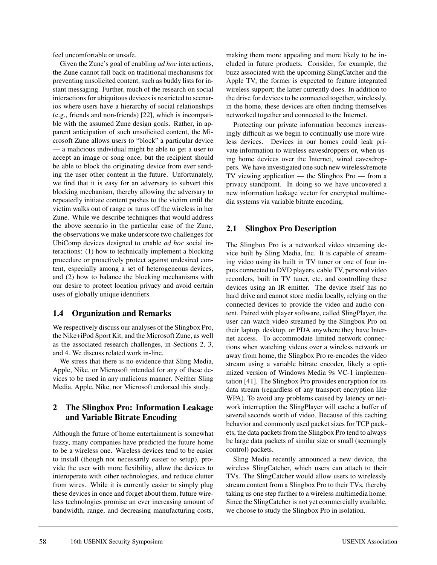feel uncomfortable or unsafe.

Given the Zune's goal of enabling *ad hoc* interactions, the Zune cannot fall back on traditional mechanisms for preventing unsolicited content, such as buddy lists for instant messaging. Further, much of the research on social interactions for ubiquitous devices is restricted to scenarios where users have a hierarchy of social relationships (e.g., friends and non-friends) [22], which is incompatible with the assumed Zune design goals. Rather, in apparent anticipation of such unsolicited content, the Microsoft Zune allows users to "block" a particular device — a malicious individual might be able to get a user to accept an image or song once, but the recipient should be able to block the originating device from ever sending the user other content in the future. Unfortunately, we find that it is easy for an adversary to subvert this blocking mechanism, thereby allowing the adversary to repeatedly initiate content pushes to the victim until the victim walks out of range or turns off the wireless in her Zune. While we describe techniques that would address the above scenario in the particular case of the Zune, the observations we make underscore two challenges for UbiComp devices designed to enable *ad hoc* social interactions: (1) how to technically implement a blocking procedure or proactively protect against undesired content, especially among a set of heterogeneous devices, and (2) how to balance the blocking mechanisms with our desire to protect location privacy and avoid certain uses of globally unique identifiers.

#### **1.4 Organization and Remarks**

We respectively discuss our analyses of the Slingbox Pro, the Nike+iPod Sport Kit, and the Microsoft Zune, as well as the associated research challenges, in Sections 2, 3, and 4. We discuss related work in-line.

We stress that there is no evidence that Sling Media, Apple, Nike, or Microsoft intended for any of these devices to be used in any malicious manner. Neither Sling Media, Apple, Nike, nor Microsoft endorsed this study.

### **2 The Slingbox Pro: Information Leakage and Variable Bitrate Encoding**

Although the future of home entertainment is somewhat fuzzy, many companies have predicted the future home to be a wireless one. Wireless devices tend to be easier to install (though not necessarily easier to setup), provide the user with more flexibility, allow the devices to interoperate with other technologies, and reduce clutter from wires. While it is currently easier to simply plug these devices in once and forget about them, future wireless technologies promise an ever increasing amount of bandwidth, range, and decreasing manufacturing costs,

making them more appealing and more likely to be included in future products. Consider, for example, the buzz associated with the upcoming SlingCatcher and the Apple TV; the former is expected to feature integrated wireless support; the latter currently does. In addition to the drive for devices to be connected together, wirelessly, in the home, these devices are often finding themselves networked together and connected to the Internet.

Protecting our private information becomes increasingly difficult as we begin to continually use more wireless devices. Devices in our homes could leak private information to wireless eavesdroppers or, when using home devices over the Internet, wired eavesdroppers. We have investigated one such new wireless/remote TV viewing application — the Slingbox Pro — from a privacy standpoint. In doing so we have uncovered a new information leakage vector for encrypted multimedia systems via variable bitrate encoding.

### **2.1 Slingbox Pro Description**

The Slingbox Pro is a networked video streaming device built by Sling Media, Inc. It is capable of streaming video using its built in TV tuner or one of four inputs connected to DVD players, cable TV, personal video recorders, built in TV tuner, etc. and controlling these devices using an IR emitter. The device itself has no hard drive and cannot store media locally, relying on the connected devices to provide the video and audio content. Paired with player software, called SlingPlayer, the user can watch video streamed by the Slingbox Pro on their laptop, desktop, or PDA anywhere they have Internet access. To accommodate limited network connections when watching videos over a wireless network or away from home, the Slingbox Pro re-encodes the video stream using a variable bitrate encoder, likely a optimized version of Windows Media 9s VC-1 implementation [41]. The Slingbox Pro provides encryption for its data stream (regardless of any transport encryption like WPA). To avoid any problems caused by latency or network interruption the SlingPlayer will cache a buffer of several seconds worth of video. Because of this caching behavior and commonly used packet sizes for TCP packets, the data packets from the Slingbox Pro tend to always be large data packets of similar size or small (seemingly control) packets.

Sling Media recently announced a new device, the wireless SlingCatcher, which users can attach to their TVs. The SlingCatcher would allow users to wirelessly stream content from a Slingbox Pro to their TVs, thereby taking us one step further to a wireless multimedia home. Since the SlingCatcher is not yet commercially available, we choose to study the Slingbox Pro in isolation.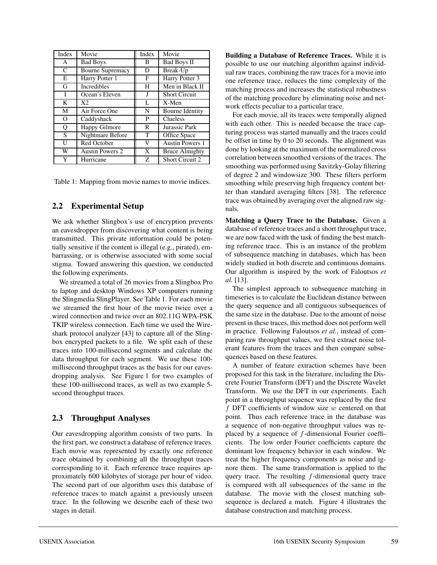| Index         | Movie                   | Index | Movie                  |
|---------------|-------------------------|-------|------------------------|
| A             | <b>Bad Boys</b>         | B     | <b>Bad Boys II</b>     |
| $\mathcal{C}$ | <b>Bourne Supremacy</b> | D     | Break-Up               |
| E             | Harry Potter 1          | F     | Harry Potter 3         |
| G             | <b>Incredibles</b>      | H     | Men in Black II        |
| I             | Ocean's Eleven          | J     | <b>Short Circuit</b>   |
| K             | X2                      | L     | $X-Men$                |
| M             | Air Force One           | N     | <b>Bourne Identity</b> |
| $\Omega$      | Caddyshack              | P     | <b>Clueless</b>        |
| Q             | <b>Happy Gilmore</b>    | R     | Jurassic Park          |
| S             | Nightmare Before        | T     | Office Space           |
| U             | Red October             | V     | <b>Austin Powers 1</b> |
| W             | <b>Austin Powers 2</b>  | X     | <b>Bruce Almighty</b>  |
| Y             | Hurricane               | Z     | <b>Short Circuit 2</b> |

Table 1: Mapping from movie names to movie indices.

#### **2.2 Experimental Setup**

We ask whether Slingbox's use of encryption prevents an eavesdropper from discovering what content is being transmitted. This private information could be potentially sensitive if the content is illegal (e.g., pirated), embarrassing, or is otherwise associated with some social stigma. Toward answering this question, we conducted the following experiments.

We streamed a total of 26 movies from a Slingbox Pro to laptop and desktop Windows XP computers running the Slingmedia SlingPlayer. See Table 1. For each movie we streamed the first hour of the movie twice over a wired connection and twice over an 802.11G WPA-PSK TKIP wireless connection. Each time we used the Wireshark protocol analyzer [43] to capture all of the Slingbox encrypted packets to a file. We split each of these traces into 100-millisecond segments and calculate the data throughput for each segment. We use these 100 millisecond throughput traces as the basis for our eavesdropping analysis. See Figure 1 for two examples of these 100-millisecond traces, as well as two example 5 second throughput traces.

#### **2.3 Throughput Analyses**

Our eavesdropping algorithm consists of two parts. In the first part, we construct a database of reference traces. Each movie was represented by exactly one reference trace obtained by combining all the throughput traces corresponding to it. Each reference trace requires approximately 600 kilobytes of storage per hour of video. The second part of our algorithm uses this database of reference traces to match against a previously unseen trace. In the following we describe each of these two stages in detail.

**Building a Database of Reference Traces.** While it is possible to use our matching algorithm against individual raw traces, combining the raw traces for a movie into one reference trace, reduces the time complexity of the matching process and increases the statistical robustness of the matching procedure by eliminating noise and network effects peculiar to a particular trace.

For each movie, all its traces were temporally aligned with each other. This is needed because the trace capturing process was started manually and the traces could be offset in time by 0 to 20 seconds. The alignment was done by looking at the maximum of the normalized cross correlation between smoothed versions of the traces. The smoothing was performed using Savitzky-Golay filtering of degree 2 and windowsize 300. These filters perform smoothing while preserving high frequency content better than standard averaging filters [38]. The reference trace was obtained by averaging over the aligned raw signals.

**Matching a Query Trace to the Database.** Given a database of reference traces and a short throughput trace, we are now faced with the task of finding the best matching reference trace. This is an instance of the problem of subsequence matching in databases, which has been widely studied in both discrete and continuous domains. Our algorithm is inspired by the work of Faloutsos *et al.* [13].

The simplest approach to subsequence matching in timeseries is to calculate the Euclidean distance between the query sequence and all contiguous subsequences of the same size in the database. Due to the amount of noise present in these traces, this method does not perform well in practice. Following Faloutsos *et al.*, instead of comparing raw throughput values, we first extract noise tolerant features from the traces and then compare subsequences based on these features.

A number of feature extraction schemes have been proposed for this task in the literature, including the Discrete Fourier Transform (DFT) and the Discrete Wavelet Transform. We use the DFT in our experiments. Each point in a throughput sequence was replaced by the first  $f$  DFT coefficients of window size  $w$  centered on that point. Thus each reference trace in the database was a sequence of non-negative throughput values was replaced by a sequence of f-dimensional Fourier coefficients. The low order Fourier coefficients capture the dominant low frequency behavior in each window. We treat the higher frequency components as noise and ignore them. The same transformation is applied to the query trace. The resulting  $f$ -dimensional query trace is compared with all subsequences of the same in the database. The movie with the closest matching subsequence is declared a match. Figure 4 illustrates the database construction and matching process.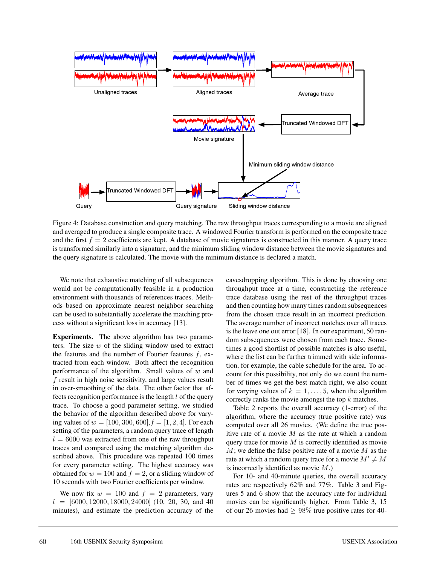

Figure 4: Database construction and query matching. The raw throughput traces corresponding to a movie are aligned and averaged to produce a single composite trace. A windowed Fourier transform is performed on the composite trace and the first  $f = 2$  coefficients are kept. A database of movie signatures is constructed in this manner. A query trace is transformed similarly into a signature, and the minimum sliding window distance between the movie signatures and the query signature is calculated. The movie with the minimum distance is declared a match.

We note that exhaustive matching of all subsequences would not be computationally feasible in a production environment with thousands of references traces. Methods based on approximate nearest neighbor searching can be used to substantially accelerate the matching process without a significant loss in accuracy [13].

**Experiments.** The above algorithm has two parameters. The size  $w$  of the sliding window used to extract the features and the number of Fourier features  $f$ , extracted from each window. Both affect the recognition performance of the algorithm. Small values of  $w$  and  $f$  result in high noise sensitivity, and large values result in over-smoothing of the data. The other factor that affects recognition performance is the length  $l$  of the query trace. To choose a good parameter setting, we studied the behavior of the algorithm described above for varying values of  $w = [100, 300, 600], f = [1, 2, 4]$ . For each setting of the parameters, a random query trace of length  $l = 6000$  was extracted from one of the raw throughput traces and compared using the matching algorithm described above. This procedure was repeated 100 times for every parameter setting. The highest accuracy was obtained for  $w = 100$  and  $f = 2$ , or a sliding window of 10 seconds with two Fourier coefficients per window.

We now fix  $w = 100$  and  $f = 2$  parameters, vary  $l = [6000, 12000, 18000, 24000]$  (10, 20, 30, and 40 minutes), and estimate the prediction accuracy of the

eavesdropping algorithm. This is done by choosing one throughput trace at a time, constructing the reference trace database using the rest of the throughput traces and then counting how many times random subsequences from the chosen trace result in an incorrect prediction. The average number of incorrect matches over all traces is the leave one out error [18]. In our experiment, 50 random subsequences were chosen from each trace. Sometimes a good shortlist of possible matches is also useful, where the list can be further trimmed with side information, for example, the cable schedule for the area. To account for this possibility, not only do we count the number of times we get the best match right, we also count for varying values of  $k = 1, \ldots, 5$ , when the algorithm correctly ranks the movie amongst the top k matches.

Table 2 reports the overall accuracy (1-error) of the algorithm, where the accuracy (true positive rate) was computed over all 26 movies. (We define the true positive rate of a movie  $M$  as the rate at which a random query trace for movie  $M$  is correctly identified as movie  $M$ ; we define the false positive rate of a movie  $M$  as the rate at which a random query trace for a movie  $M' \neq M$ is incorrectly identified as movie  $M$ .)

For 10- and 40-minute queries, the overall accuracy rates are respectively 62% and 77%. Table 3 and Figures 5 and 6 show that the accuracy rate for individual movies can be significantly higher. From Table 3, 15 of our 26 movies had  $\geq 98\%$  true positive rates for 40-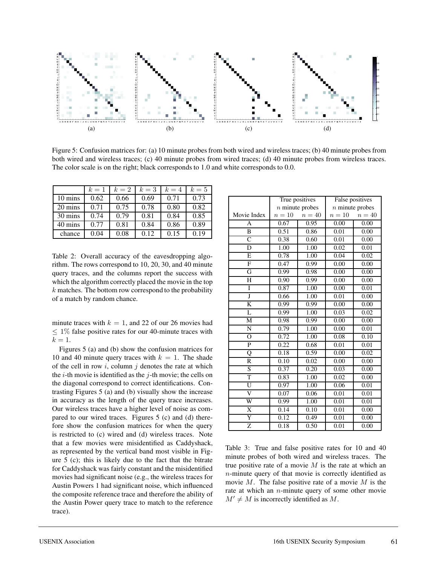

Figure 5: Confusion matrices for: (a) 10 minute probes from both wired and wireless traces; (b) 40 minute probes from both wired and wireless traces; (c) 40 minute probes from wired traces; (d) 40 minute probes from wireless traces. The color scale is on the right; black corresponds to 1.0 and white corresponds to 0.0.

|         | $k=1$ | $k=2$ | $k=3$ | $k=4$ | $k=5$ |
|---------|-------|-------|-------|-------|-------|
| 10 mins | 0.62  | 0.66  | 0.69  | 0.71  | 0.73  |
| 20 mins | 0.71  | 0.75  | 0.78  | 0.80  | 0.82  |
| 30 mins | 0.74  | 0.79  | 0.81  | 0.84  | 0.85  |
| 40 mins | 0.77  | 0.81  | 0.84  | 0.86  | 0.89  |
| chance  | 0.04  | 0.08  | 0.12  | 0.15  | 0.19  |

Table 2: Overall accuracy of the eavesdropping algorithm. The rows correspond to 10, 20, 30, and 40 minute query traces, and the columns report the success with which the algorithm correctly placed the movie in the top  $k$  matches. The bottom row correspond to the probability of a match by random chance.

minute traces with  $k = 1$ , and 22 of our 26 movies had  $\leq 1\%$  false positive rates for our 40-minute traces with  $k=1$ .

Figures 5 (a) and (b) show the confusion matrices for 10 and 40 minute query traces with  $k = 1$ . The shade of the cell in row  $i$ , column  $j$  denotes the rate at which the  $i$ -th movie is identified as the  $j$ -th movie; the cells on the diagonal correspond to correct identifications. Contrasting Figures 5 (a) and (b) visually show the increase in accuracy as the length of the query trace increases. Our wireless traces have a higher level of noise as compared to our wired traces. Figures 5 (c) and (d) therefore show the confusion matrices for when the query is restricted to (c) wired and (d) wireless traces. Note that a few movies were misidentified as Caddyshack, as represented by the vertical band most visible in Figure 5 (c); this is likely due to the fact that the bitrate for Caddyshack was fairly constant and the misidentified movies had significant noise (e.g., the wireless traces for Austin Powers 1 had significant noise, which influenced the composite reference trace and therefore the ability of the Austin Power query trace to match to the reference trace).

|                         |                   | True positives | False positives   |        |  |  |  |  |  |
|-------------------------|-------------------|----------------|-------------------|--------|--|--|--|--|--|
|                         | $n$ minute probes |                | $n$ minute probes |        |  |  |  |  |  |
| Movie Index             | $n=10$            | $n=40$         | $n=10$            | $n=40$ |  |  |  |  |  |
| А                       | 0.67              | 0.95           | 0.00              | 0.00   |  |  |  |  |  |
| B                       | 0.51              | 0.86           | 0.01              | 0.00   |  |  |  |  |  |
| $\overline{\mathsf{C}}$ | 0.38              | 0.60           | 0.01              | 0.00   |  |  |  |  |  |
| D                       | 1.00              | 1.00           | 0.02              | 0.01   |  |  |  |  |  |
| E                       | 0.78              | 1.00           | 0.04              | 0.02   |  |  |  |  |  |
| $\overline{F}$          | 0.47              | 0.99           | 0.00              | 0.00   |  |  |  |  |  |
| G                       | 0.99              | 0.98           | 0.00              | 0.00   |  |  |  |  |  |
| H                       | 0.90              | 0.99           | 0.00              | 0.00   |  |  |  |  |  |
| I                       | 0.87              | 1.00           | 0.00              | 0.01   |  |  |  |  |  |
| Ţ                       | 0.66              | 1.00           | 0.01              | 0.00   |  |  |  |  |  |
| K                       | 0.99              | 0.99           | 0.00              | 0.00   |  |  |  |  |  |
| L                       | 0.99              | 1.00           | 0.03              | 0.02   |  |  |  |  |  |
| M                       | 0.98              | 0.99           | 0.00              | 0.00   |  |  |  |  |  |
| N                       | 0.79              | 1.00           | 0.00              | 0.01   |  |  |  |  |  |
| $\Omega$                | 0.72              | 1.00           | 0.08              | 0.10   |  |  |  |  |  |
| $\mathbf{P}$            | 0.22              | 0.68           | 0.01              | 0.01   |  |  |  |  |  |
| Q                       | 0.18              | 0.59           | 0.00              | 0.02   |  |  |  |  |  |
| R                       | 0.10              | 0.02           | 0.00              | 0.00   |  |  |  |  |  |
| S                       | 0.37              | 0.20           | 0.03              | 0.00   |  |  |  |  |  |
| T                       | 0.83              | 1.00           | 0.02              | 0.00   |  |  |  |  |  |
| U                       | 0.97              | 1.00           | 0.06              | 0.01   |  |  |  |  |  |
| $\overline{\rm v}$      | 0.07              | 0.06           | 0.01              | 0.01   |  |  |  |  |  |
| W                       | 0.99              | 1.00           | 0.01              | 0.01   |  |  |  |  |  |
| X                       | 0.14              | 0.10           | 0.01              | 0.00   |  |  |  |  |  |
| Y                       | 0.12              | 0.49           | 0.01              | 0.00   |  |  |  |  |  |
| Z                       | 0.18              | 0.50           | 0.01              | 0.00   |  |  |  |  |  |

Table 3: True and false positive rates for 10 and 40 minute probes of both wired and wireless traces. The true positive rate of a movie  $M$  is the rate at which an n-minute query of that movie is correctly identified as movie  $M$ . The false positive rate of a movie  $M$  is the rate at which an  $n$ -minute query of some other movie  $M' \neq M$  is incorrectly identified as M.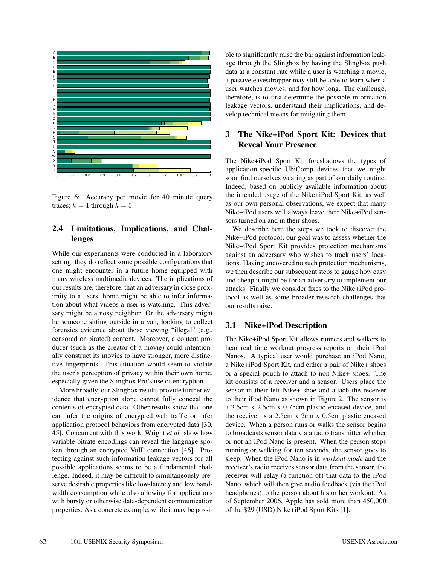

Figure 6: Accuracy per movie for 40 minute query traces;  $k = 1$  through  $k = 5$ .

#### **2.4 Limitations, Implications, and Challenges**

While our experiments were conducted in a laboratory setting, they do reflect some possible configurations that one might encounter in a future home equipped with many wireless multimedia devices. The implications of our results are, therefore, that an adversary in close proximity to a users' home might be able to infer information about what videos a user is watching. This adversary might be a nosy neighbor. Or the adversary might be someone sitting outside in a van, looking to collect forensics evidence about those viewing "illegal" (e.g., censored or pirated) content. Moreover, a content producer (such as the creator of a movie) could intentionally construct its movies to have stronger, more distinctive fingerprints. This situation would seem to violate the user's perception of privacy within their own home, especially given the Slingbox Pro's use of encryption.

More broadly, our Slingbox results provide further evidence that encryption alone cannot fully conceal the contents of encrypted data. Other results show that one can infer the origins of encrypted web traffic or infer application protocol behaviors from encrypted data [30, 45]. Concurrent with this work, Wright *et al.* show how variable bitrate encodings can reveal the language spoken through an encrypted VoIP connection [46]. Protecting against such information leakage vectors for all possible applications seems to be a fundamental challenge. Indeed, it may be difficult to simultaneously preserve desirable properties like low-latency and low bandwidth consumption while also allowing for applications with bursty or otherwise data-dependent communication properties. As a concrete example, while it may be possible to significantly raise the bar against information leakage through the Slingbox by having the Slingbox push data at a constant rate while a user is watching a movie, a passive eavesdropper may still be able to learn when a user watches movies, and for how long. The challenge, therefore, is to first determine the possible information leakage vectors, understand their implications, and develop technical means for mitigating them.

#### **3 The Nike+iPod Sport Kit: Devices that Reveal Your Presence**

The Nike+iPod Sport Kit foreshadows the types of application-specific UbiComp devices that we might soon find ourselves wearing as part of our daily routine. Indeed, based on publicly available information about the intended usage of the Nike+iPod Sport Kit, as well as our own personal observations, we expect that many Nike+iPod users will always leave their Nike+iPod sensors turned on and in their shoes.

We describe here the steps we took to discover the Nike+iPod protocol; our goal was to assess whether the Nike+iPod Sport Kit provides protection mechanisms against an adversary who wishes to track users' locations. Having uncovered no such protection mechanisms, we then describe our subsequent steps to gauge how easy and cheap it might be for an adversary to implement our attacks. Finally we consider fixes to the Nike+iPod protocol as well as some broader research challenges that our results raise.

#### **3.1 Nike+iPod Description**

The Nike+iPod Sport Kit allows runners and walkers to hear real time workout progress reports on their iPod Nanos. A typical user would purchase an iPod Nano, a Nike+iPod Sport Kit, and either a pair of Nike+ shoes or a special pouch to attach to non-Nike+ shoes. The kit consists of a receiver and a sensor. Users place the sensor in their left Nike+ shoe and attach the receiver to their iPod Nano as shown in Figure 2. The sensor is a 3.5cm x 2.5cm x 0.75cm plastic encased device, and the receiver is a 2.5cm x 2cm x 0.5cm plastic encased device. When a person runs or walks the sensor begins to broadcasts sensor data via a radio transmitter whether or not an iPod Nano is present. When the person stops running or walking for ten seconds, the sensor goes to sleep. When the iPod Nano is in *workout mode* and the receiver's radio receives sensor data from the sensor, the receiver will relay (a function of) that data to the iPod Nano, which will then give audio feedback (via the iPod headphones) to the person about his or her workout. As of September 2006, Apple has sold more than 450,000 of the \$29 (USD) Nike+iPod Sport Kits [1].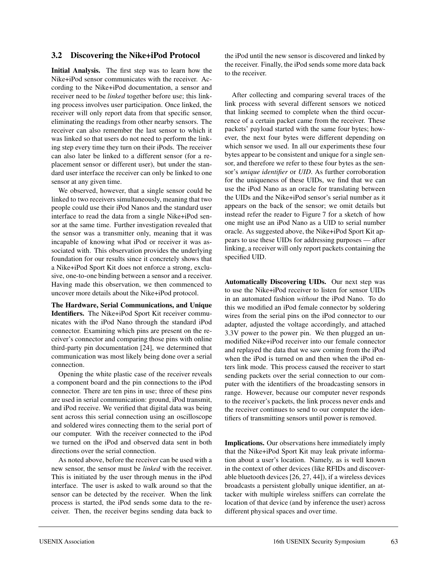#### **3.2 Discovering the Nike+iPod Protocol**

**Initial Analysis.** The first step was to learn how the Nike+iPod sensor communicates with the receiver. According to the Nike+iPod documentation, a sensor and receiver need to be *linked* together before use; this linking process involves user participation. Once linked, the receiver will only report data from that specific sensor, eliminating the readings from other nearby sensors. The receiver can also remember the last sensor to which it was linked so that users do not need to perform the linking step every time they turn on their iPods. The receiver can also later be linked to a different sensor (for a replacement sensor or different user), but under the standard user interface the receiver can only be linked to one sensor at any given time.

We observed, however, that a single sensor could be linked to two receivers simultaneously, meaning that two people could use their iPod Nanos and the standard user interface to read the data from a single Nike+iPod sensor at the same time. Further investigation revealed that the sensor was a transmitter only, meaning that it was incapable of knowing what iPod or receiver it was associated with. This observation provides the underlying foundation for our results since it concretely shows that a Nike+iPod Sport Kit does not enforce a strong, exclusive, one-to-one binding between a sensor and a receiver. Having made this observation, we then commenced to uncover more details about the Nike+iPod protocol.

**The Hardware, Serial Communications, and Unique Identifiers.** The Nike+iPod Sport Kit receiver communicates with the iPod Nano through the standard iPod connector. Examining which pins are present on the receiver's connector and comparing those pins with online third-party pin documentation [24], we determined that communication was most likely being done over a serial connection.

Opening the white plastic case of the receiver reveals a component board and the pin connections to the iPod connector. There are ten pins in use; three of these pins are used in serial communication: ground, iPod transmit, and iPod receive. We verified that digital data was being sent across this serial connection using an oscilloscope and soldered wires connecting them to the serial port of our computer. With the receiver connected to the iPod we turned on the iPod and observed data sent in both directions over the serial connection.

As noted above, before the receiver can be used with a new sensor, the sensor must be *linked* with the receiver. This is initiated by the user through menus in the iPod interface. The user is asked to walk around so that the sensor can be detected by the receiver. When the link process is started, the iPod sends some data to the receiver. Then, the receiver begins sending data back to the iPod until the new sensor is discovered and linked by the receiver. Finally, the iPod sends some more data back to the receiver.

After collecting and comparing several traces of the link process with several different sensors we noticed that linking seemed to complete when the third occurrence of a certain packet came from the receiver. These packets' payload started with the same four bytes; however, the next four bytes were different depending on which sensor we used. In all our experiments these four bytes appear to be consistent and unique for a single sensor, and therefore we refer to these four bytes as the sensor's *unique identifier* or *UID*. As further corroboration for the uniqueness of these UIDs, we find that we can use the iPod Nano as an oracle for translating between the UIDs and the Nike+iPod sensor's serial number as it appears on the back of the sensor; we omit details but instead refer the reader to Figure 7 for a sketch of how one might use an iPod Nano as a UID to serial number oracle. As suggested above, the Nike+iPod Sport Kit appears to use these UIDs for addressing purposes — after linking, a receiver will only report packets containing the specified UID.

**Automatically Discovering UIDs.** Our next step was to use the Nike+iPod receiver to listen for sensor UIDs in an automated fashion *without* the iPod Nano. To do this we modified an iPod female connector by soldering wires from the serial pins on the iPod connector to our adapter, adjusted the voltage accordingly, and attached 3.3V power to the power pin. We then plugged an unmodified Nike+iPod receiver into our female connector and replayed the data that we saw coming from the iPod when the iPod is turned on and then when the iPod enters link mode. This process caused the receiver to start sending packets over the serial connection to our computer with the identifiers of the broadcasting sensors in range. However, because our computer never responds to the receiver's packets, the link process never ends and the receiver continues to send to our computer the identifiers of transmitting sensors until power is removed.

**Implications.** Our observations here immediately imply that the Nike+iPod Sport Kit may leak private information about a user's location. Namely, as is well known in the context of other devices (like RFIDs and discoverable bluetooth devices [26, 27, 44]), if a wireless devices broadcasts a persistent globally unique identifier, an attacker with multiple wireless sniffers can correlate the location of that device (and by inference the user) across different physical spaces and over time.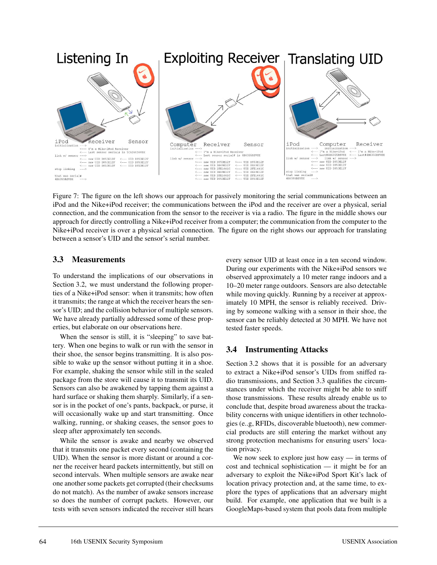

Figure 7: The figure on the left shows our approach for passively monitoring the serial communications between an iPod and the Nike+iPod receiver; the communications between the iPod and the receiver are over a physical, serial connection, and the communication from the sensor to the receiver is via a radio. The figure in the middle shows our approach for directly controlling a Nike+iPod receiver from a computer; the communication from the computer to the Nike+iPod receiver is over a physical serial connection. The figure on the right shows our approach for translating between a sensor's UID and the sensor's serial number.

### **3.3 Measurements**

To understand the implications of our observations in Section 3.2, we must understand the following properties of a Nike+iPod sensor: when it transmits; how often it transmits; the range at which the receiver hears the sensor's UID; and the collision behavior of multiple sensors. We have already partially addressed some of these properties, but elaborate on our observations here.

When the sensor is still, it is "sleeping" to save battery. When one begins to walk or run with the sensor in their shoe, the sensor begins transmitting. It is also possible to wake up the sensor without putting it in a shoe. For example, shaking the sensor while still in the sealed package from the store will cause it to transmit its UID. Sensors can also be awakened by tapping them against a hard surface or shaking them sharply. Similarly, if a sensor is in the pocket of one's pants, backpack, or purse, it will occasionally wake up and start transmitting. Once walking, running, or shaking ceases, the sensor goes to sleep after approximately ten seconds.

While the sensor is awake and nearby we observed that it transmits one packet every second (containing the UID). When the sensor is more distant or around a corner the receiver heard packets intermittently, but still on second intervals. When multiple sensors are awake near one another some packets get corrupted (their checksums do not match). As the number of awake sensors increase so does the number of corrupt packets. However, our tests with seven sensors indicated the receiver still hears every sensor UID at least once in a ten second window. During our experiments with the Nike+iPod sensors we observed approximately a 10 meter range indoors and a 10–20 meter range outdoors. Sensors are also detectable while moving quickly. Running by a receiver at approximately 10 MPH, the sensor is reliably received. Driving by someone walking with a sensor in their shoe, the sensor can be reliably detected at 30 MPH. We have not tested faster speeds.

# **3.4 Instrumenting Attacks**

Section 3.2 shows that it is possible for an adversary to extract a Nike+iPod sensor's UIDs from sniffed radio transmissions, and Section 3.3 qualifies the circumstances under which the receiver might be able to sniff those transmissions. These results already enable us to conclude that, despite broad awareness about the trackability concerns with unique identifiers in other technologies (e..g, RFIDs, discoverable bluetooth), new commercial products are still entering the market without any strong protection mechanisms for ensuring users' location privacy.

We now seek to explore just how easy — in terms of cost and technical sophistication — it might be for an adversary to exploit the Nike+iPod Sport Kit's lack of location privacy protection and, at the same time, to explore the types of applications that an adversary might build. For example, one application that we built is a GoogleMaps-based system that pools data from multiple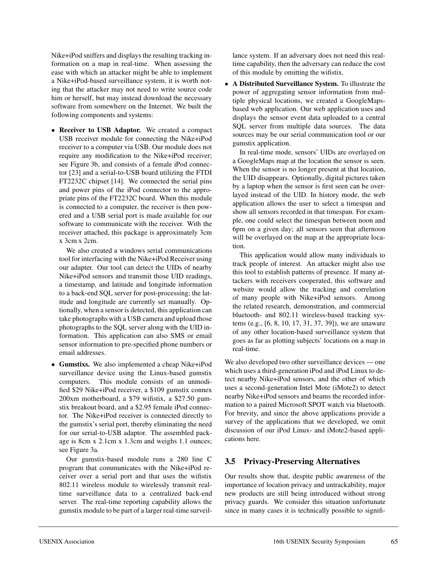Nike+iPod sniffers and displays the resulting tracking information on a map in real-time. When assessing the ease with which an attacker might be able to implement a Nike+iPod-based surveillance system, it is worth noting that the attacker may not need to write source code him or herself, but may instead download the necessary software from somewhere on the Internet. We built the following components and systems:

• **Receiver to USB Adaptor.** We created a compact USB receiver module for connecting the Nike+iPod receiver to a computer via USB. Our module does not require any modification to the Nike+iPod receiver; see Figure 3b, and consists of a female iPod connector [23] and a serial-to-USB board utilizing the FTDI FT2232C chipset [14]. We connected the serial pins and power pins of the iPod connector to the appropriate pins of the FT2232C board. When this module is connected to a computer, the receiver is then powered and a USB serial port is made available for our software to communicate with the receiver. With the receiver attached, this package is approximately 3cm x 3cm x 2cm.

We also created a windows serial communications tool for interfacing with the Nike+iPod Receiver using our adapter. Our tool can detect the UIDs of nearby Nike+iPod sensors and transmit those UID readings, a timestamp, and latitude and longitude information to a back-end SQL server for post-processing; the latitude and longitude are currently set manually. Optionally, when a sensor is detected, this application can take photographs with a USB camera and upload those photographs to the SQL server along with the UID information. This application can also SMS or email sensor information to pre-specified phone numbers or email addresses.

• **Gumstixs.** We also implemented a cheap Nike+iPod surveillance device using the Linux-based gumstix computers. This module consists of an unmodified \$29 Nike+iPod receiver, a \$109 gumstix connex 200xm motherboard, a \$79 wifistix, a \$27.50 gumstix breakout board, and a \$2.95 female iPod connector. The Nike+iPod receiver is connected directly to the gumstix's serial port, thereby eliminating the need for our serial-to-USB adaptor. The assembled package is 8cm x 2.1cm x 1.3cm and weighs 1.1 ounces; see Figure 3a.

Our gumstix-based module runs a 280 line C program that communicates with the Nike+iPod receiver over a serial port and that uses the wifistix 802.11 wireless module to wirelessly transmit realtime surveillance data to a centralized back-end server. The real-time reporting capability allows the gumstix module to be part of a larger real-time surveillance system. If an adversary does not need this realtime capability, then the adversary can reduce the cost of this module by omitting the wifistix.

• **A Distributed Surveillance System.** To illustrate the power of aggregating sensor information from multiple physical locations, we created a GoogleMapsbased web application. Our web application uses and displays the sensor event data uploaded to a central SQL server from multiple data sources. The data sources may be our serial communication tool or our gumstix application.

In real-time mode, sensors' UIDs are overlayed on a GoogleMaps map at the location the sensor is seen. When the sensor is no longer present at that location, the UID disappears. Optionally, digital pictures taken by a laptop when the sensor is first seen can be overlayed instead of the UID. In history mode, the web application allows the user to select a timespan and show all sensors recorded in that timespan. For example, one could select the timespan between noon and 6pm on a given day; all sensors seen that afternoon will be overlayed on the map at the appropriate location.

This application would allow many individuals to track people of interest. An attacker might also use this tool to establish patterns of presence. If many attackers with receivers cooperated, this software and website would allow the tracking and correlation of many people with Nike+iPod sensors. Among the related research, demonstration, and commercial bluetooth- and 802.11 wireless-based tracking systems (e.g., [6, 8, 10, 17, 31, 37, 39]), we are unaware of any other location-based surveillance system that goes as far as plotting subjects' locations on a map in real-time.

We also developed two other surveillance devices — one which uses a third-generation iPod and iPod Linux to detect nearby Nike+iPod sensors, and the other of which uses a second-generation Intel Mote (iMote2) to detect nearby Nike+iPod sensors and beams the recorded information to a paired Microsoft SPOT watch via bluetooth. For brevity, and since the above applications provide a survey of the applications that we developed, we omit discussion of our iPod Linux- and iMote2-based applications here.

### **3.5 Privacy-Preserving Alternatives**

Our results show that, despite public awareness of the importance of location privacy and untrackability, major new products are still being introduced without strong privacy guards. We consider this situation unfortunate since in many cases it is technically possible to signifi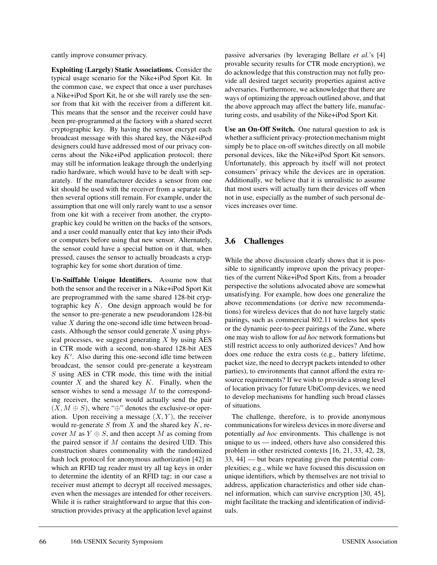cantly improve consumer privacy.

**Exploiting (Largely) Static Associations.** Consider the typical usage scenario for the Nike+iPod Sport Kit. In the common case, we expect that once a user purchases a Nike+iPod Sport Kit, he or she will rarely use the sensor from that kit with the receiver from a different kit. This means that the sensor and the receiver could have been pre-programmed at the factory with a shared secret cryptographic key. By having the sensor encrypt each broadcast message with this shared key, the Nike+iPod designers could have addressed most of our privacy concerns about the Nike+iPod application protocol; there may still be information leakage through the underlying radio hardware, which would have to be dealt with separately. If the manufacturer decides a sensor from one kit should be used with the receiver from a separate kit, then several options still remain. For example, under the assumption that one will only rarely want to use a sensor from one kit with a receiver from another, the cryptographic key could be written on the backs of the sensors, and a user could manually enter that key into their iPods or computers before using that new sensor. Alternately, the sensor could have a special button on it that, when pressed, causes the sensor to actually broadcasts a cryptographic key for some short duration of time.

**Un-Sniffable Unique Identifiers.** Assume now that both the sensor and the receiver in a Nike+iPod Sport Kit are preprogrammed with the same shared 128-bit cryptographic key  $K$ . One design approach would be for the sensor to pre-generate a new pseudorandom 128-bit value  $X$  during the one-second idle time between broadcasts. Although the sensor could generate  $X$  using physical processes, we suggest generating  $X$  by using  $AES$ in CTR mode with a second, non-shared 128-bit AES key  $K'$ . Also during this one-second idle time between broadcast, the sensor could pre-generate a keystream  $S$  using AES in CTR mode, this time with the initial counter  $X$  and the shared key  $K$ . Finally, when the sensor wishes to send a message M to the corresponding receiver, the sensor would actually send the pair  $(X, M \oplus S)$ , where "⊕" denotes the exclusive-or operation. Upon receiving a message  $(X, Y)$ , the receiver would re-generate  $S$  from  $X$  and the shared key  $K$ , recover M as  $Y \oplus S$ , and then accept M as coming from the paired sensor if  $M$  contains the desired UID. This construction shares commonality with the randomized hash lock protocol for anonymous authorization [42] in which an RFID tag reader must try all tag keys in order to determine the identity of an RFID tag; in our case a receiver must attempt to decrypt all received messages, even when the messages are intended for other receivers. While it is rather straightforward to argue that this construction provides privacy at the application level against passive adversaries (by leveraging Bellare *et al.*'s [4] provable security results for CTR mode encryption), we do acknowledge that this construction may not fully provide all desired target security properties against active adversaries. Furthermore, we acknowledge that there are ways of optimizing the approach outlined above, and that the above approach may affect the battery life, manufacturing costs, and usability of the Nike+iPod Sport Kit.

**Use an On-Off Switch.** One natural question to ask is whether a sufficient privacy-protection mechanism might simply be to place on-off switches directly on all mobile personal devices, like the Nike+iPod Sport Kit sensors. Unfortunately, this approach by itself will not protect consumers' privacy while the devices are in operation. Additionally, we believe that it is unrealistic to assume that most users will actually turn their devices off when not in use, especially as the number of such personal devices increases over time.

## **3.6 Challenges**

While the above discussion clearly shows that it is possible to significantly improve upon the privacy properties of the current Nike+iPod Sport Kits, from a broader perspective the solutions advocated above are somewhat unsatisfying. For example, how does one generalize the above recommendations (or derive new recommendations) for wireless devices that do not have largely static pairings, such as commercial 802.11 wireless hot spots or the dynamic peer-to-peer pairings of the Zune, where one may wish to allow for *ad hoc* network formations but still restrict access to only authorized devices? And how does one reduce the extra costs (e.g., battery lifetime, packet size, the need to decrypt packets intended to other parties), to environments that cannot afford the extra resource requirements? If we wish to provide a strong level of location privacy for future UbiComp devices, we need to develop mechanisms for handling such broad classes of situations.

The challenge, therefore, is to provide anonymous communications for wireless devices in more diverse and potentially *ad hoc* environments. This challenge is not unique to us — indeed, others have also considered this problem in other restricted contexts [16, 21, 33, 42, 28, 33, 44] — but bears repeating given the potential complexities; e.g., while we have focused this discussion on unique identifiers, which by themselves are not trivial to address, application characteristics and other side channel information, which can survive encryption [30, 45], might facilitate the tracking and identification of individuals.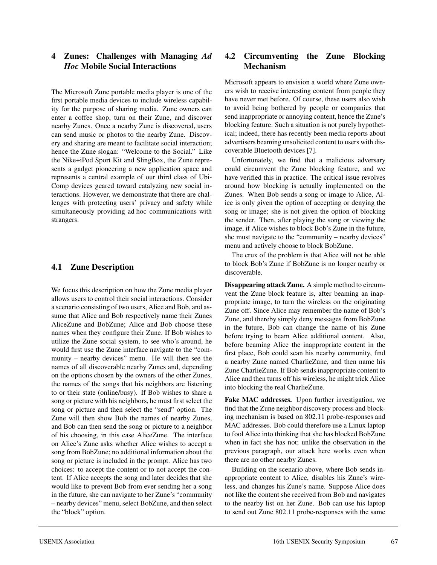### **4 Zunes: Challenges with Managing** *Ad Hoc* **Mobile Social Interactions**

The Microsoft Zune portable media player is one of the first portable media devices to include wireless capability for the purpose of sharing media. Zune owners can enter a coffee shop, turn on their Zune, and discover nearby Zunes. Once a nearby Zune is discovered, users can send music or photos to the nearby Zune. Discovery and sharing are meant to facilitate social interaction; hence the Zune slogan: "Welcome to the Social." Like the Nike+iPod Sport Kit and SlingBox, the Zune represents a gadget pioneering a new application space and represents a central example of our third class of Ubi-Comp devices geared toward catalyzing new social interactions. However, we demonstrate that there are challenges with protecting users' privacy and safety while simultaneously providing ad hoc communications with strangers.

### **4.1 Zune Description**

We focus this description on how the Zune media player allows users to control their social interactions. Consider a scenario consisting of two users, Alice and Bob, and assume that Alice and Bob respectively name their Zunes AliceZune and BobZune; Alice and Bob choose these names when they configure their Zune. If Bob wishes to utilize the Zune social system, to see who's around, he would first use the Zune interface navigate to the "community – nearby devices" menu. He will then see the names of all discoverable nearby Zunes and, depending on the options chosen by the owners of the other Zunes, the names of the songs that his neighbors are listening to or their state (online/busy). If Bob wishes to share a song or picture with his neighbors, he must first select the song or picture and then select the "send" option. The Zune will then show Bob the names of nearby Zunes, and Bob can then send the song or picture to a neighbor of his choosing, in this case AliceZune. The interface on Alice's Zune asks whether Alice wishes to accept a song from BobZune; no additional information about the song or picture is included in the prompt. Alice has two choices: to accept the content or to not accept the content. If Alice accepts the song and later decides that she would like to prevent Bob from ever sending her a song in the future, she can navigate to her Zune's "community – nearby devices" menu, select BobZune, and then select the "block" option.

### **4.2 Circumventing the Zune Blocking Mechanism**

Microsoft appears to envision a world where Zune owners wish to receive interesting content from people they have never met before. Of course, these users also wish to avoid being bothered by people or companies that send inappropriate or annoying content, hence the Zune's blocking feature. Such a situation is not purely hypothetical; indeed, there has recently been media reports about advertisers beaming unsolicited content to users with discoverable Bluetooth devices [7].

Unfortunately, we find that a malicious adversary could circumvent the Zune blocking feature, and we have verified this in practice. The critical issue revolves around how blocking is actually implemented on the Zunes. When Bob sends a song or image to Alice, Alice is only given the option of accepting or denying the song or image; she is not given the option of blocking the sender. Then, after playing the song or viewing the image, if Alice wishes to block Bob's Zune in the future, she must navigate to the "community – nearby devices" menu and actively choose to block BobZune.

The crux of the problem is that Alice will not be able to block Bob's Zune if BobZune is no longer nearby or discoverable.

**Disappearing attack Zune.** A simple method to circumvent the Zune block feature is, after beaming an inappropriate image, to turn the wireless on the originating Zune off. Since Alice may remember the name of Bob's Zune, and thereby simply deny messages from BobZune in the future, Bob can change the name of his Zune before trying to beam Alice additional content. Also, before beaming Alice the inappropriate content in the first place, Bob could scan his nearby community, find a nearby Zune named CharlieZune, and then name his Zune CharlieZune. If Bob sends inappropriate content to Alice and then turns off his wireless, he might trick Alice into blocking the real CharlieZune.

**Fake MAC addresses.** Upon further investigation, we find that the Zune neighbor discovery process and blocking mechanism is based on 802.11 probe-responses and MAC addresses. Bob could therefore use a Linux laptop to fool Alice into thinking that she has blocked BobZune when in fact she has not; unlike the observation in the previous paragraph, our attack here works even when there are no other nearby Zunes.

Building on the scenario above, where Bob sends inappropriate content to Alice, disables his Zune's wireless, and changes his Zune's name. Suppose Alice does not like the content she received from Bob and navigates to the nearby list on her Zune. Bob can use his laptop to send out Zune 802.11 probe-responses with the same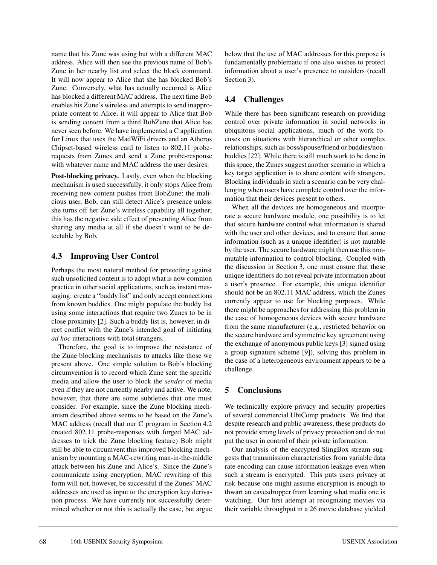name that his Zune was using but with a different MAC address. Alice will then see the previous name of Bob's Zune in her nearby list and select the block command. It will now appear to Alice that she has blocked Bob's Zune. Conversely, what has actually occurred is Alice has blocked a different MAC address. The next time Bob enables his Zune's wireless and attempts to send inappropriate content to Alice, it will appear to Alice that Bob is sending content from a third BobZune that Alice has never seen before. We have implemented a C application for Linux that uses the MadWiFi drivers and an Atheros Chipset-based wireless card to listen to 802.11 proberequests from Zunes and send a Zune probe-response with whatever name and MAC address the user desires.

**Post-blocking privacy.** Lastly, even when the blocking mechanism is used successfully, it only stops Alice from receiving new content pushes from BobZune; the malicious user, Bob, can still detect Alice's presence unless she turns off her Zune's wireless capability all together; this has the negative side effect of preventing Alice from sharing any media at all if she doesn't want to be detectable by Bob.

### **4.3 Improving User Control**

Perhaps the most natural method for protecting against such unsolicited content is to adopt what is now common practice in other social applications, such as instant messaging: create a "buddy list" and only accept connections from known buddies. One might populate the buddy list using some interactions that require two Zunes to be in close proximity [2]. Such a buddy list is, however, in direct conflict with the Zune's intended goal of initiating *ad hoc* interactions with total strangers.

Therefore, the goal is to improve the resistance of the Zune blocking mechanisms to attacks like those we present above. One simple solution to Bob's blocking circumvention is to record which Zune sent the specific media and allow the user to block the *sender* of media even if they are not currently nearby and active. We note, however, that there are some subtleties that one must consider. For example, since the Zune blocking mechanism described above seems to be based on the Zune's MAC address (recall that our C program in Section 4.2 created 802.11 probe-responses with forged MAC addresses to trick the Zune blocking feature) Bob might still be able to circumvent this improved blocking mechanism by mounting a MAC-rewriting man-in-the-middle attack between his Zune and Alice's. Since the Zune's communicate using encryption, MAC rewriting of this form will not, however, be successful if the Zunes' MAC addresses are used as input to the encryption key derivation process. We have currently not successfully determined whether or not this is actually the case, but argue

below that the use of MAC addresses for this purpose is fundamentally problematic if one also wishes to protect information about a user's presence to outsiders (recall Section 3).

# **4.4 Challenges**

While there has been significant research on providing control over private information in social networks in ubiquitous social applications, much of the work focuses on situations with hierarchical or other complex relationships, such as boss/spouse/friend or buddies/nonbuddies [22]. While there is still much work to be done in this space, the Zunes suggest another scenario in which a key target application is to share content with strangers. Blocking individuals in such a scenario can be very challenging when users have complete control over the information that their devices present to others.

When all the devices are homogeneous and incorporate a secure hardware module, one possibility is to let that secure hardware control what information is shared with the user and other devices, and to ensure that some information (such as a unique identifier) is not mutable by the user. The secure hardware might then use this nonmutable information to control blocking. Coupled with the discussion in Section 3, one must ensure that these unique identifiers do not reveal private information about a user's presence. For example, this unique identifier should not be an 802.11 MAC address, which the Zunes currently appear to use for blocking purposes. While there might be approaches for addressing this problem in the case of homogeneous devices with secure hardware from the same manufacturer (e.g., restricted behavior on the secure hardware and symmetric key agreement using the exchange of anonymous public keys [3] signed using a group signature scheme [9]), solving this problem in the case of a heterogeneous environment appears to be a challenge.

# **5 Conclusions**

We technically explore privacy and security properties of several commercial UbiComp products. We find that despite research and public awareness, these products do not provide strong levels of privacy protection and do not put the user in control of their private information.

Our analysis of the encrypted SlingBox stream suggests that transmission characteristics from variable data rate encoding can cause information leakage even when such a stream is encrypted. This puts users privacy at risk because one might assume encryption is enough to thwart an eavesdropper from learning what media one is watching. Our first attempt at recognizing movies via their variable throughput in a 26 movie database yielded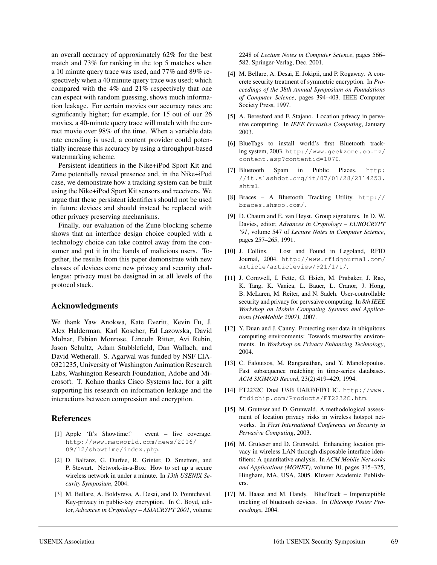an overall accuracy of approximately 62% for the best match and 73% for ranking in the top 5 matches when a 10 minute query trace was used, and 77% and 89% respectively when a 40 minute query trace was used; which compared with the 4% and 21% respectively that one can expect with random guessing, shows much information leakage. For certain movies our accuracy rates are significantly higher; for example, for 15 out of our 26 movies, a 40-minute query trace will match with the correct movie over 98% of the time. When a variable data rate encoding is used, a content provider could potentially increase this accuracy by using a throughput-based watermarking scheme.

Persistent identifiers in the Nike+iPod Sport Kit and Zune potentially reveal presence and, in the Nike+iPod case, we demonstrate how a tracking system can be built using the Nike+iPod Sport Kit sensors and receivers. We argue that these persistent identifiers should not be used in future devices and should instead be replaced with other privacy preserving mechanisms.

Finally, our evaluation of the Zune blocking scheme shows that an interface design choice coupled with a technology choice can take control away from the consumer and put it in the hands of malicious users. Together, the results from this paper demonstrate with new classes of devices come new privacy and security challenges; privacy must be designed in at all levels of the protocol stack.

#### **Acknowledgments**

We thank Yaw Anokwa, Kate Everitt, Kevin Fu, J. Alex Halderman, Karl Koscher, Ed Lazowska, David Molnar, Fabian Monrose, Lincoln Ritter, Avi Rubin, Jason Schultz, Adam Stubblefield, Dan Wallach, and David Wetherall. S. Agarwal was funded by NSF EIA-0321235, University of Washington Animation Research Labs, Washington Research Foundation, Adobe and Microsoft. T. Kohno thanks Cisco Systems Inc. for a gift supporting his research on information leakage and the interactions between compression and encryption.

#### **References**

- [1] Apple 'It's Showtime!' event live coverage. http://www.macworld.com/news/2006/ 09/12/showtime/index.php.
- [2] D. Balfanz, G. Durfee, R. Grinter, D. Smetters, and P. Stewart. Network-in-a-Box: How to set up a secure wireless network in under a minute. In *13th USENIX Security Symposium*, 2004.
- [3] M. Bellare, A. Boldyreva, A. Desai, and D. Pointcheval. Key-privacy in public-key encryption. In C. Boyd, editor, *Advances in Cryptology – ASIACRYPT 2001*, volume

2248 of *Lecture Notes in Computer Science*, pages 566– 582. Springer-Verlag, Dec. 2001.

- [4] M. Bellare, A. Desai, E. Jokipii, and P. Rogaway. A concrete security treatment of symmetric encryption. In *Proceedings of the 38th Annual Symposium on Foundations of Computer Science*, pages 394–403. IEEE Computer Society Press, 1997.
- [5] A. Beresford and F. Stajano. Location privacy in pervasive computing. In *IEEE Pervasive Computing*, January 2003.
- [6] BlueTags to install world's first Bluetooth tracking system, 2003. http://www.geekzone.co.nz/ content.asp?contentid=1070.
- [7] Bluetooth Spam in Public Places. http: //it.slashdot.org/it/07/01/28/2114253. shtml.
- [8] Braces A Bluetooth Tracking Utility. http:// braces.shmoo.com/.
- [9] D. Chaum and E. van Heyst. Group signatures. In D. W. Davies, editor, *Advances in Cryptology – EUROCRYPT '91*, volume 547 of *Lecture Notes in Computer Science*, pages 257–265, 1991.
- [10] J. Collins. Lost and Found in Legoland, RFID Journal, 2004. http://www.rfidjournal.com/ article/articleview/921/1/1/.
- [11] J. Cornwell, I. Fette, G. Hsieh, M. Prabaker, J. Rao, K. Tang, K. Vaniea, L. Bauer, L. Cranor, J. Hong, B. McLaren, M. Reiter, and N. Sadeh. User-controllable security and privacy for pervsaive computing. In *8th IEEE Workshop on Mobile Computing Systems and Applications (HotMobile 2007)*, 2007.
- [12] Y. Duan and J. Canny. Protecting user data in ubiquitous computing environments: Towards trustworthy environments. In *Workshop on Privacy Enhancing Technology*, 2004.
- [13] C. Faloutsos, M. Ranganathan, and Y. Manolopoulos. Fast subsequence matching in time-series databases. *ACM SIGMOD Record*, 23(2):419–429, 1994.
- [14] FT2232C Dual USB UARF/FIFO IC. http://www. ftdichip.com/Products/FT2232C.htm.
- [15] M. Gruteser and D. Grunwald. A methodological assessment of location privacy risks in wireless hotspot networks. In *First International Conference on Security in Pervasive Computing*, 2003.
- [16] M. Gruteser and D. Grunwald. Enhancing location privacy in wireless LAN through disposable interface identifiers: A quantitative analysis. In *ACM Mobile Networks and Applications (MONET)*, volume 10, pages 315–325, Hingham, MA, USA, 2005. Kluwer Academic Publishers.
- [17] M. Haase and M. Handy. BlueTrack Imperceptible tracking of bluetooth devices. In *Ubicomp Poster Proceedings*, 2004.